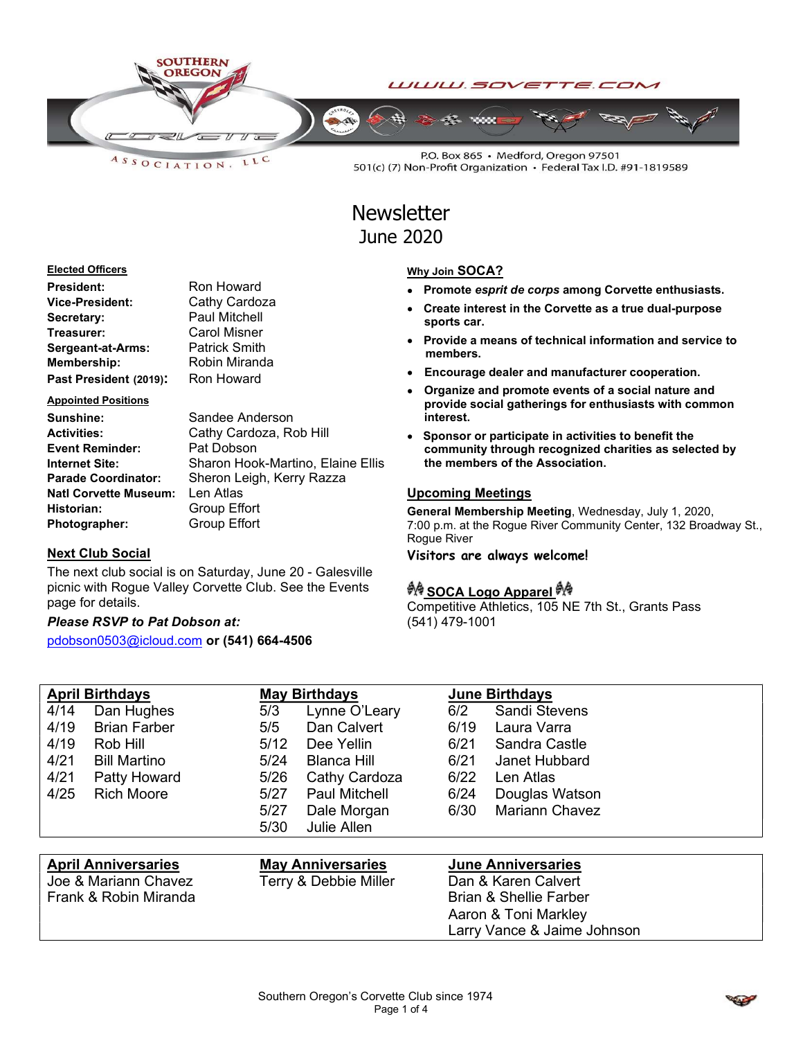

LLC  $A S S O C I AT I O N.$ 

P.O. Box 865 · Medford, Oregon 97501 501(c) (7) Non-Profit Organization · Federal Tax I.D. #91-1819589

# **Newsletter** June 2020

#### Elected Officers

| <b>President:</b>        | Ron Howard           |
|--------------------------|----------------------|
| Vice-President:          | Cathy Cardoza        |
| Secretary:               | <b>Paul Mitchell</b> |
| Treasurer:               | <b>Carol Misner</b>  |
| <b>Sergeant-at-Arms:</b> | <b>Patrick Smith</b> |
| Membership:              | Robin Miranda        |
| Past President (2019):   | Ron Howard           |

#### Appointed Positions

| <b>Sunshine:</b>             | Sandee Anderson                   |
|------------------------------|-----------------------------------|
| <b>Activities:</b>           | Cathy Cardoza, Rob Hill           |
| <b>Event Reminder:</b>       | Pat Dobson                        |
| <b>Internet Site:</b>        | Sharon Hook-Martino, Elaine Ellis |
| <b>Parade Coordinator:</b>   | Sheron Leigh, Kerry Razza         |
| <b>Natl Corvette Museum:</b> | Len Atlas                         |
| Historian:                   | Group Effort                      |
| Photographer:                | <b>Group Effort</b>               |

#### Next Club Social

The next club social is on Saturday, June 20 - Galesville picnic with Rogue Valley Corvette Club. See the Events page for details.

### Please RSVP to Pat Dobson at:

pdobson0503@icloud.com or (541) 664-4506

| Southern Oregon's Corvette Club since 1974 |  |
|--------------------------------------------|--|
| Page 1 of 4                                |  |

## Why Join SOCA?

- Promote esprit de corps among Corvette enthusiasts.
- Create interest in the Corvette as a true dual-purpose sports car.
- Provide a means of technical information and service to members.
- Encourage dealer and manufacturer cooperation.
- Organize and promote events of a social nature and provide social gatherings for enthusiasts with common interest.
- Sponsor or participate in activities to benefit the community through recognized charities as selected by the members of the Association.

#### Upcoming Meetings

General Membership Meeting, Wednesday, July 1, 2020, 7:00 p.m. at the Rogue River Community Center, 132 Broadway St., Rogue River

Visitors are always welcome!

### ग्रै∲ SOCA Logo Apparel ग्रै∲

Aaron & Toni Markley

Larry Vance & Jaime Johnson

Competitive Athletics, 105 NE 7th St., Grants Pass (541) 479-1001

| <b>April Birthdays</b>     |                      |                       | <b>May Birthdays</b>     |                     | <b>June Birthdays</b>     |  |  |
|----------------------------|----------------------|-----------------------|--------------------------|---------------------|---------------------------|--|--|
| 4/14                       | Dan Hughes           | 5/3                   | Lynne O'Leary            | 6/2                 | <b>Sandi Stevens</b>      |  |  |
| 4/19                       | <b>Brian Farber</b>  | 5/5                   | Dan Calvert              | 6/19                | Laura Varra               |  |  |
| 4/19                       | Rob Hill             | 5/12                  | Dee Yellin               | 6/21                | Sandra Castle             |  |  |
| 4/21                       | <b>Bill Martino</b>  | 5/24                  | <b>Blanca Hill</b>       | 6/21                | Janet Hubbard             |  |  |
| 4/21                       | Patty Howard         | 5/26                  | Cathy Cardoza            | 6/22                | Len Atlas                 |  |  |
| 4/25                       | <b>Rich Moore</b>    | $5/27$                | <b>Paul Mitchell</b>     | 6/24                | Douglas Watson            |  |  |
|                            |                      | 5/27                  | Dale Morgan              | 6/30                | <b>Mariann Chavez</b>     |  |  |
|                            |                      | 5/30                  | Julie Allen              |                     |                           |  |  |
|                            |                      |                       |                          |                     |                           |  |  |
| <b>April Anniversaries</b> |                      |                       | <b>May Anniversaries</b> |                     | <b>June Anniversaries</b> |  |  |
|                            | Joe & Mariann Chavez | Terry & Debbie Miller |                          | Dan & Karen Calvert |                           |  |  |

Frank & Robin Miranda Brian & Shellie Farber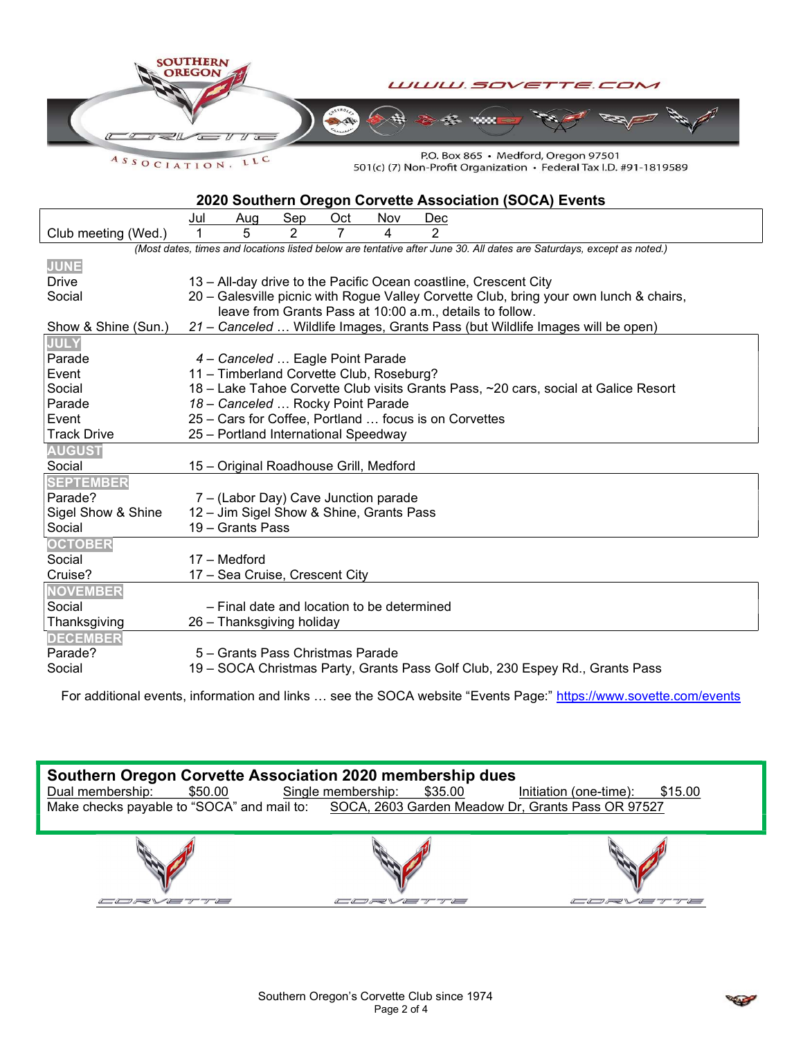

ASSOCIATION. LLC

P.O. Box 865 · Medford, Oregon 97501 501(c) (7) Non-Profit Organization • Federal Tax I.D. #91-1819589

### 2020 Southern Oregon Corvette Association (SOCA) Events

|                     | Jul                                                                                    | Aug                                                                                 | Sep | Oct | Nov | Dec           |                                                                                                                       |
|---------------------|----------------------------------------------------------------------------------------|-------------------------------------------------------------------------------------|-----|-----|-----|---------------|-----------------------------------------------------------------------------------------------------------------------|
| Club meeting (Wed.) |                                                                                        | 5                                                                                   | 2   | 7   | 4   | $\mathcal{P}$ |                                                                                                                       |
|                     |                                                                                        |                                                                                     |     |     |     |               | (Most dates, times and locations listed below are tentative after June 30. All dates are Saturdays, except as noted.) |
| <b>JUNE</b>         |                                                                                        |                                                                                     |     |     |     |               |                                                                                                                       |
| Drive               | 13 – All-day drive to the Pacific Ocean coastline, Crescent City                       |                                                                                     |     |     |     |               |                                                                                                                       |
| Social              | 20 - Galesville picnic with Rogue Valley Corvette Club, bring your own lunch & chairs, |                                                                                     |     |     |     |               |                                                                                                                       |
|                     | leave from Grants Pass at 10:00 a.m., details to follow.                               |                                                                                     |     |     |     |               |                                                                                                                       |
| Show & Shine (Sun.) |                                                                                        |                                                                                     |     |     |     |               | 21 – Canceled  Wildlife Images, Grants Pass (but Wildlife Images will be open)                                        |
| <b>JULY</b>         |                                                                                        |                                                                                     |     |     |     |               |                                                                                                                       |
| Parade              |                                                                                        | 4 - Canceled  Eagle Point Parade                                                    |     |     |     |               |                                                                                                                       |
| Event               |                                                                                        | 11 - Timberland Corvette Club, Roseburg?                                            |     |     |     |               |                                                                                                                       |
| Social              |                                                                                        | 18 - Lake Tahoe Corvette Club visits Grants Pass, ~20 cars, social at Galice Resort |     |     |     |               |                                                                                                                       |
| Parade              |                                                                                        | 18 - Canceled  Rocky Point Parade                                                   |     |     |     |               |                                                                                                                       |
| Event               |                                                                                        | 25 - Cars for Coffee, Portland  focus is on Corvettes                               |     |     |     |               |                                                                                                                       |
| <b>Track Drive</b>  |                                                                                        | 25 - Portland International Speedway                                                |     |     |     |               |                                                                                                                       |
| <b>AUGUST</b>       |                                                                                        |                                                                                     |     |     |     |               |                                                                                                                       |
| Social              |                                                                                        | 15 - Original Roadhouse Grill, Medford                                              |     |     |     |               |                                                                                                                       |
| <b>SEPTEMBER</b>    |                                                                                        |                                                                                     |     |     |     |               |                                                                                                                       |
| Parade?             |                                                                                        | 7 - (Labor Day) Cave Junction parade                                                |     |     |     |               |                                                                                                                       |
| Sigel Show & Shine  | 12 - Jim Sigel Show & Shine, Grants Pass                                               |                                                                                     |     |     |     |               |                                                                                                                       |
| Social              |                                                                                        | 19 - Grants Pass                                                                    |     |     |     |               |                                                                                                                       |
| <b>OCTOBER</b>      |                                                                                        |                                                                                     |     |     |     |               |                                                                                                                       |
| Social              |                                                                                        | 17 - Medford                                                                        |     |     |     |               |                                                                                                                       |
| Cruise?             |                                                                                        | 17 - Sea Cruise, Crescent City                                                      |     |     |     |               |                                                                                                                       |
| <b>NOVEMBER</b>     |                                                                                        |                                                                                     |     |     |     |               |                                                                                                                       |
| Social              |                                                                                        | - Final date and location to be determined                                          |     |     |     |               |                                                                                                                       |
| Thanksgiving        |                                                                                        | 26 - Thanksgiving holiday                                                           |     |     |     |               |                                                                                                                       |
| <b>DECEMBER</b>     |                                                                                        |                                                                                     |     |     |     |               |                                                                                                                       |
| Parade?             |                                                                                        | 5 - Grants Pass Christmas Parade                                                    |     |     |     |               |                                                                                                                       |
| Social              |                                                                                        |                                                                                     |     |     |     |               | 19 – SOCA Christmas Party, Grants Pass Golf Club, 230 Espey Rd., Grants Pass                                          |

For additional events, information and links ... see the SOCA website "Events Page:" https://www.sovette.com/events



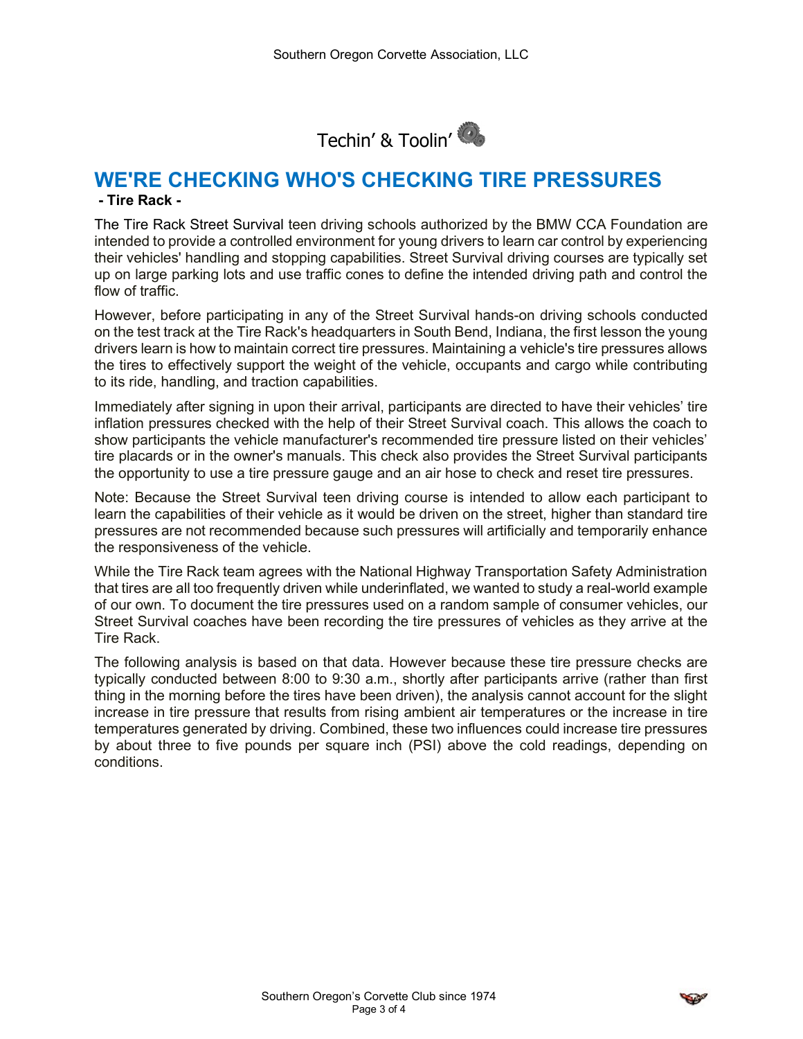

# WE'RE CHECKING WHO'S CHECKING TIRE PRESSURES

### - Tire Rack -

The Tire Rack Street Survival teen driving schools authorized by the BMW CCA Foundation are intended to provide a controlled environment for young drivers to learn car control by experiencing their vehicles' handling and stopping capabilities. Street Survival driving courses are typically set up on large parking lots and use traffic cones to define the intended driving path and control the flow of traffic.

However, before participating in any of the Street Survival hands-on driving schools conducted on the test track at the Tire Rack's headquarters in South Bend, Indiana, the first lesson the young drivers learn is how to maintain correct tire pressures. Maintaining a vehicle's tire pressures allows the tires to effectively support the weight of the vehicle, occupants and cargo while contributing to its ride, handling, and traction capabilities.

Immediately after signing in upon their arrival, participants are directed to have their vehicles' tire inflation pressures checked with the help of their Street Survival coach. This allows the coach to show participants the vehicle manufacturer's recommended tire pressure listed on their vehicles' tire placards or in the owner's manuals. This check also provides the Street Survival participants the opportunity to use a tire pressure gauge and an air hose to check and reset tire pressures.

Note: Because the Street Survival teen driving course is intended to allow each participant to learn the capabilities of their vehicle as it would be driven on the street, higher than standard tire pressures are not recommended because such pressures will artificially and temporarily enhance the responsiveness of the vehicle.

While the Tire Rack team agrees with the National Highway Transportation Safety Administration that tires are all too frequently driven while underinflated, we wanted to study a real-world example of our own. To document the tire pressures used on a random sample of consumer vehicles, our Street Survival coaches have been recording the tire pressures of vehicles as they arrive at the Tire Rack.

The following analysis is based on that data. However because these tire pressure checks are typically conducted between 8:00 to 9:30 a.m., shortly after participants arrive (rather than first thing in the morning before the tires have been driven), the analysis cannot account for the slight increase in tire pressure that results from rising ambient air temperatures or the increase in tire temperatures generated by driving. Combined, these two influences could increase tire pressures by about three to five pounds per square inch (PSI) above the cold readings, depending on conditions.